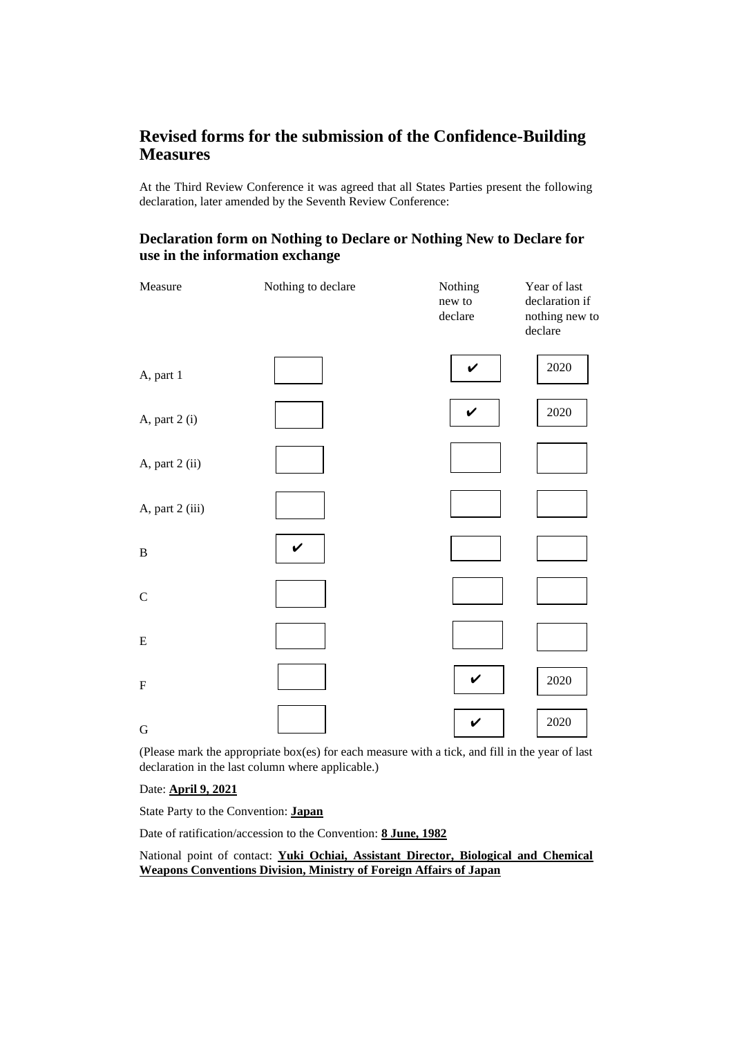## **Revised forms for the submission of the Confidence-Building Measures**

At the Third Review Conference it was agreed that all States Parties present the following declaration, later amended by the Seventh Review Conference:

## **Declaration form on Nothing to Declare or Nothing New to Declare for use in the information exchange**

| Measure                   | Nothing to declare | Nothing<br>new to<br>declare | Year of last<br>declaration if<br>nothing new to<br>declare |
|---------------------------|--------------------|------------------------------|-------------------------------------------------------------|
| A, part 1                 |                    | $\checkmark$                 | $2020\,$                                                    |
| A, part 2 (i)             |                    | V                            | $2020\,$                                                    |
| A, part 2 (ii)            |                    |                              |                                                             |
| A, part 2 (iii)           |                    |                              |                                                             |
| $\, {\bf B}$              | V                  |                              |                                                             |
| $\mathsf C$               |                    |                              |                                                             |
| ${\bf E}$                 |                    |                              |                                                             |
| $\boldsymbol{\mathrm{F}}$ |                    | $\checkmark$                 | $2020\,$                                                    |
| G                         |                    | V                            | 2020                                                        |

(Please mark the appropriate box(es) for each measure with a tick, and fill in the year of last declaration in the last column where applicable.)

Date: **April 9, 2021**

State Party to the Convention: **Japan**

Date of ratification/accession to the Convention: **8 June, 1982**

### National point of contact: **Yuki Ochiai, Assistant Director, Biological and Chemical Weapons Conventions Division, Ministry of Foreign Affairs of Japan**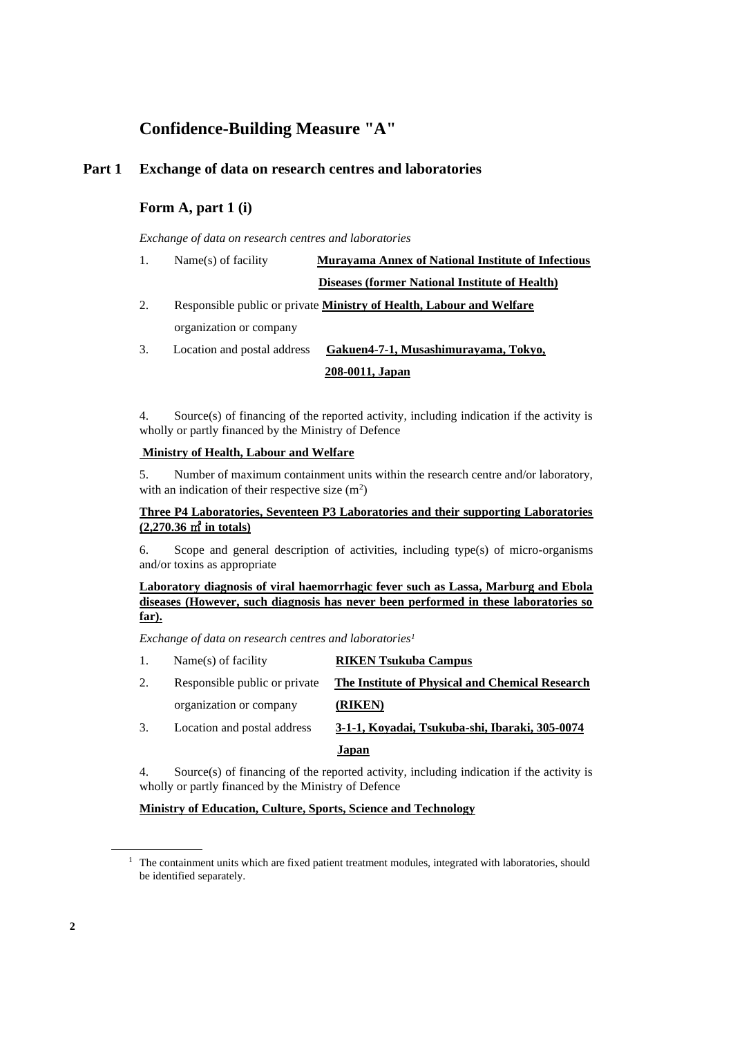# **Confidence-Building Measure "A"**

## **Part 1 Exchange of data on research centres and laboratories**

## **Form A, part 1 (i)**

*Exchange of data on research centres and laboratories*

| 1. | Name(s) of facility         | <b>Murayama Annex of National Institute of Infectious</b>            |
|----|-----------------------------|----------------------------------------------------------------------|
|    |                             | <b>Diseases (former National Institute of Health)</b>                |
| 2. |                             | Responsible public or private Ministry of Health, Labour and Welfare |
|    | organization or company     |                                                                      |
| 3. | Location and postal address | Gakuen4-7-1, Musashimurayama, Tokyo,                                 |

**208-0011, Japan**

4. Source(s) of financing of the reported activity, including indication if the activity is wholly or partly financed by the Ministry of Defence

#### **Ministry of Health, Labour and Welfare**

5. Number of maximum containment units within the research centre and/or laboratory, with an indication of their respective size  $(m^2)$ 

#### **Three P4 Laboratories, Seventeen P3 Laboratories and their supporting Laboratories (2,270.36** ㎡ **in totals)**

6. Scope and general description of activities, including type(s) of micro-organisms and/or toxins as appropriate

#### **Laboratory diagnosis of viral haemorrhagic fever such as Lassa, Marburg and Ebola diseases (However, such diagnosis has never been performed in these laboratories so far).**

*Exchange of data on research centres and laboratories<sup>1</sup>*

- 1. Name(s) of facility **RIKEN Tsukuba Campus**
- 2. Responsible public or private **The Institute of Physical and Chemical Research** organization or company **(RIKEN)** 3. Location and postal address **3-1-1, Koyadai, Tsukuba-shi, Ibaraki, 305-0074**

**Japan**

4. Source(s) of financing of the reported activity, including indication if the activity is wholly or partly financed by the Ministry of Defence

#### **Ministry of Education, Culture, Sports, Science and Technology**

<sup>&</sup>lt;sup>1</sup> The containment units which are fixed patient treatment modules, integrated with laboratories, should be identified separately.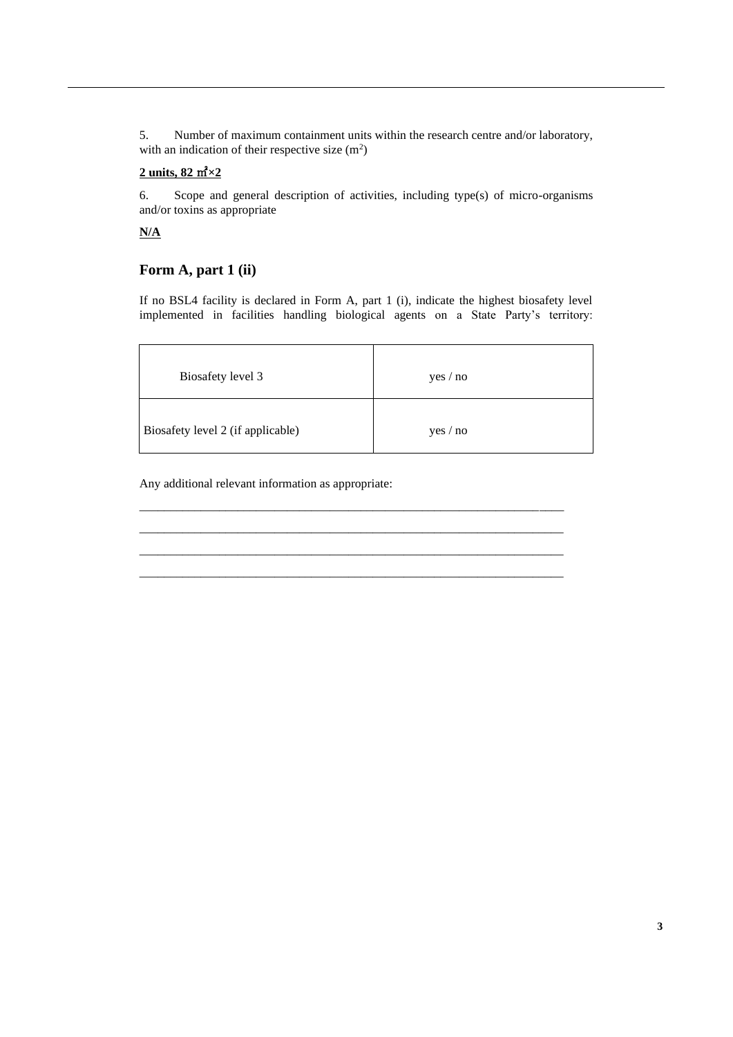5. Number of maximum containment units within the research centre and/or laboratory, with an indication of their respective size  $(m^2)$ 

## **2 units, 82** ㎡**×2**

6. Scope and general description of activities, including type(s) of micro-organisms and/or toxins as appropriate

**N/A**

## **Form A, part 1 (ii)**

If no BSL4 facility is declared in Form A, part 1 (i), indicate the highest biosafety level implemented in facilities handling biological agents on a State Party's territory:

| Biosafety level 3                 | yes / no |
|-----------------------------------|----------|
| Biosafety level 2 (if applicable) | yes / no |

\_\_\_\_\_\_\_\_\_\_\_\_\_\_\_\_\_\_\_\_\_\_\_\_\_\_\_\_\_\_\_\_\_\_\_\_\_\_\_\_\_\_\_\_\_\_\_\_\_\_\_\_\_\_\_\_\_\_\_\_\_\_\_\_\_\_\_\_\_ \_\_\_\_\_\_\_\_\_\_\_\_\_\_\_\_\_\_\_\_\_\_\_\_\_\_\_\_\_\_\_\_\_\_\_\_\_\_\_\_\_\_\_\_\_\_\_\_\_\_\_\_\_\_\_\_\_\_\_\_\_\_\_\_\_\_\_\_\_ \_\_\_\_\_\_\_\_\_\_\_\_\_\_\_\_\_\_\_\_\_\_\_\_\_\_\_\_\_\_\_\_\_\_\_\_\_\_\_\_\_\_\_\_\_\_\_\_\_\_\_\_\_\_\_\_\_\_\_\_\_\_\_\_\_\_\_\_\_ \_\_\_\_\_\_\_\_\_\_\_\_\_\_\_\_\_\_\_\_\_\_\_\_\_\_\_\_\_\_\_\_\_\_\_\_\_\_\_\_\_\_\_\_\_\_\_\_\_\_\_\_\_\_\_\_\_\_\_\_\_\_\_\_\_\_\_\_\_

Any additional relevant information as appropriate: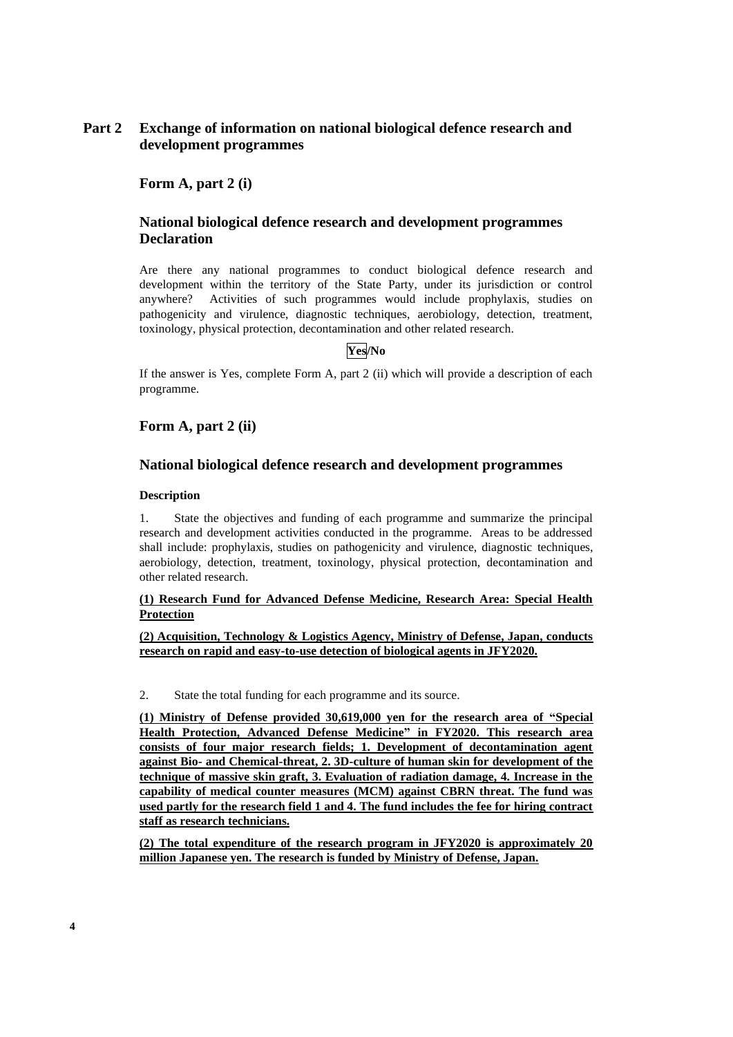## **Part 2 Exchange of information on national biological defence research and development programmes**

**Form A, part 2 (i)**

## **National biological defence research and development programmes Declaration**

Are there any national programmes to conduct biological defence research and development within the territory of the State Party, under its jurisdiction or control anywhere? Activities of such programmes would include prophylaxis, studies on pathogenicity and virulence, diagnostic techniques, aerobiology, detection, treatment, toxinology, physical protection, decontamination and other related research.

#### **Yes/No**

If the answer is Yes, complete Form A, part 2 (ii) which will provide a description of each programme.

## **Form A, part 2 (ii)**

#### **National biological defence research and development programmes**

#### **Description**

1. State the objectives and funding of each programme and summarize the principal research and development activities conducted in the programme. Areas to be addressed shall include: prophylaxis, studies on pathogenicity and virulence, diagnostic techniques, aerobiology, detection, treatment, toxinology, physical protection, decontamination and other related research.

#### **(1) Research Fund for Advanced Defense Medicine, Research Area: Special Health Protection**

**(2) Acquisition, Technology & Logistics Agency, Ministry of Defense, Japan, conducts research on rapid and easy-to-use detection of biological agents in JFY2020.**

2. State the total funding for each programme and its source.

**(1) Ministry of Defense provided 30,619,000 yen for the research area of "Special Health Protection, Advanced Defense Medicine" in FY2020. This research area consists of four major research fields; 1. Development of decontamination agent against Bio- and Chemical-threat, 2. 3D-culture of human skin for development of the technique of massive skin graft, 3. Evaluation of radiation damage, 4. Increase in the capability of medical counter measures (MCM) against CBRN threat. The fund was used partly for the research field 1 and 4. The fund includes the fee for hiring contract staff as research technicians.**

**(2) The total expenditure of the research program in JFY2020 is approximately 20 million Japanese yen. The research is funded by Ministry of Defense, Japan.**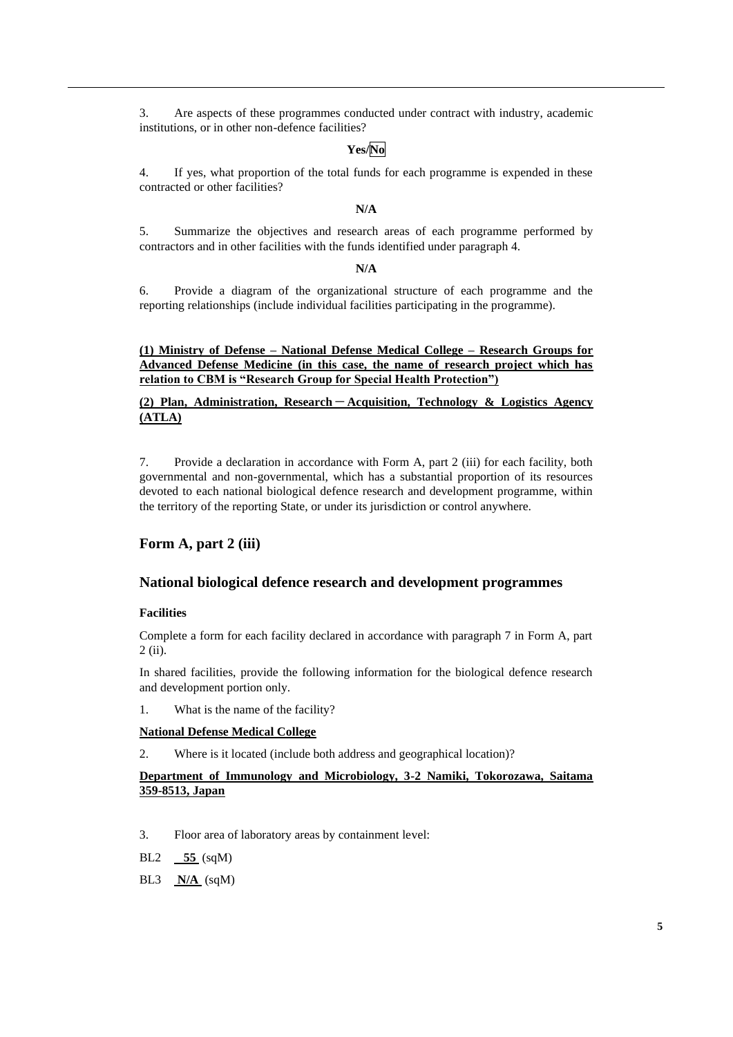3. Are aspects of these programmes conducted under contract with industry, academic institutions, or in other non-defence facilities?

## **Yes/No**

4. If yes, what proportion of the total funds for each programme is expended in these contracted or other facilities?

#### **N/A**

5. Summarize the objectives and research areas of each programme performed by contractors and in other facilities with the funds identified under paragraph 4.

#### **N/A**

6. Provide a diagram of the organizational structure of each programme and the reporting relationships (include individual facilities participating in the programme).

**(1) Ministry of Defense – National Defense Medical College – Research Groups for Advanced Defense Medicine (in this case, the name of research project which has relation to CBM is "Research Group for Special Health Protection")**

**(2) Plan, Administration, Research**-**Acquisition, Technology & Logistics Agency (ATLA)**

7. Provide a declaration in accordance with Form A, part 2 (iii) for each facility, both governmental and non-governmental, which has a substantial proportion of its resources devoted to each national biological defence research and development programme, within the territory of the reporting State, or under its jurisdiction or control anywhere.

### **Form A, part 2 (iii)**

#### **National biological defence research and development programmes**

#### **Facilities**

Complete a form for each facility declared in accordance with paragraph 7 in Form A, part 2 (ii).

In shared facilities, provide the following information for the biological defence research and development portion only.

1. What is the name of the facility?

#### **National Defense Medical College**

2. Where is it located (include both address and geographical location)?

#### **Department of Immunology and Microbiology, 3-2 Namiki, Tokorozawa, Saitama 359-8513, Japan**

- 3. Floor area of laboratory areas by containment level:
- BL2 **55** (sqM)
- BL3 **N/A** (sqM)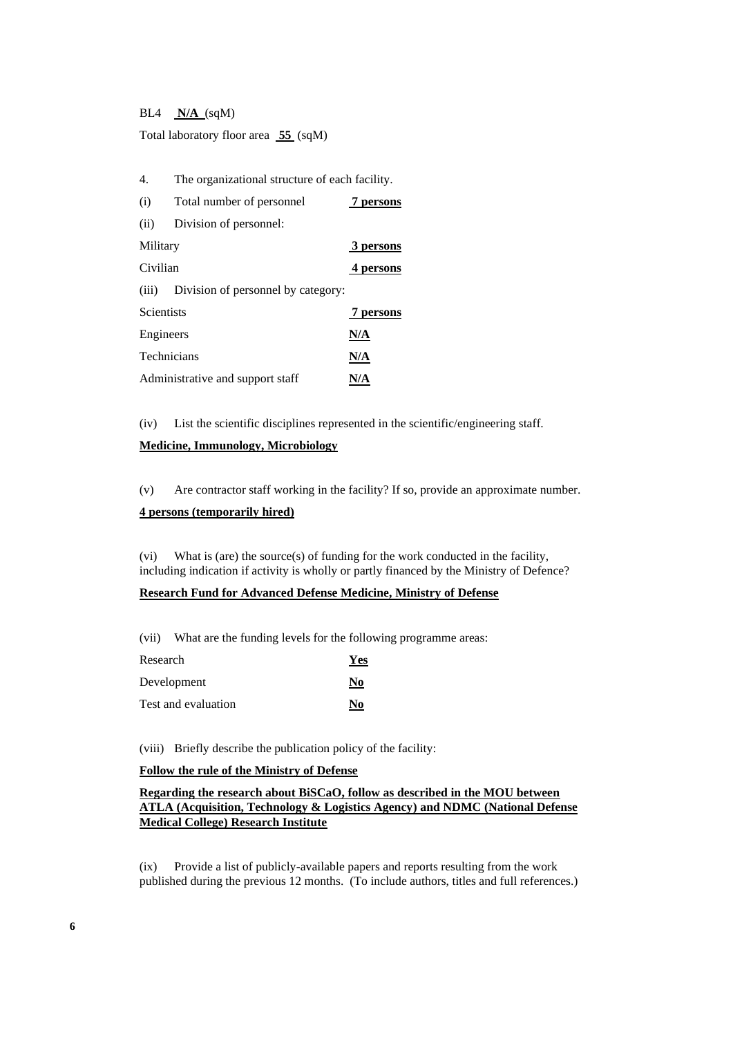BL4 **N/A** (sqM)

Total laboratory floor area **55** (sqM)

| 4.<br>The organizational structure of each facility. |                                          |           |
|------------------------------------------------------|------------------------------------------|-----------|
| (i)<br>Total number of personnel                     |                                          | 7 persons |
| (ii)                                                 | Division of personnel:                   |           |
| Military                                             |                                          | 3 persons |
| Civilian                                             |                                          | 4 persons |
|                                                      | (iii) Division of personnel by category: |           |
| <b>Scientists</b>                                    |                                          | 7 persons |
| Engineers                                            |                                          | N/A       |
| Technicians                                          |                                          | N/A       |
| Administrative and support staff                     |                                          | N/A       |

(iv) List the scientific disciplines represented in the scientific/engineering staff.

#### **Medicine, Immunology, Microbiology**

(v) Are contractor staff working in the facility? If so, provide an approximate number.

#### **4 persons (temporarily hired)**

(vi) What is (are) the source(s) of funding for the work conducted in the facility, including indication if activity is wholly or partly financed by the Ministry of Defence?

#### **Research Fund for Advanced Defense Medicine, Ministry of Defense**

(vii) What are the funding levels for the following programme areas:

| Research            | <b>Yes</b> |
|---------------------|------------|
| Development         | No         |
| Test and evaluation | No         |

(viii) Briefly describe the publication policy of the facility:

#### **Follow the rule of the Ministry of Defense**

**Regarding the research about BiSCaO, follow as described in the MOU between ATLA (Acquisition, Technology & Logistics Agency) and NDMC (National Defense Medical College) Research Institute**

(ix) Provide a list of publicly-available papers and reports resulting from the work published during the previous 12 months. (To include authors, titles and full references.)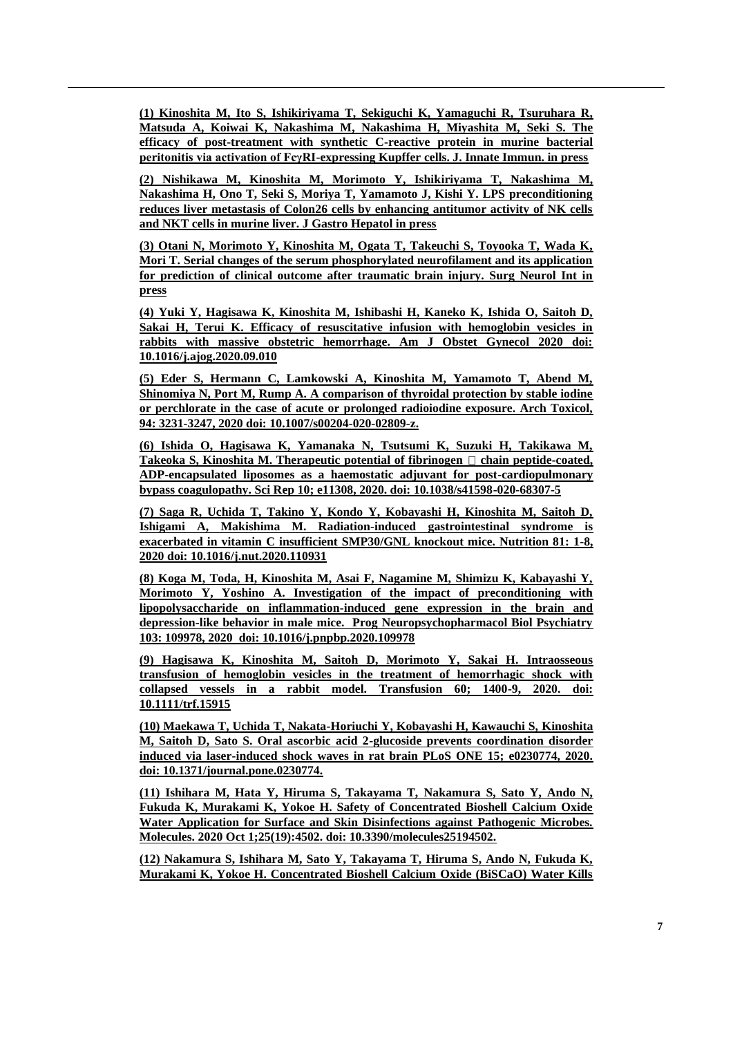**(1) Kinoshita M, Ito S, Ishikiriyama T, Sekiguchi K, Yamaguchi R, Tsuruhara R, Matsuda A, Koiwai K, Nakashima M, Nakashima H, Miyashita M, Seki S. The efficacy of post-treatment with synthetic C-reactive protein in murine bacterial peritonitis via activation of FcγRI-expressing Kupffer cells. J. Innate Immun. in press**

**(2) Nishikawa M, Kinoshita M, Morimoto Y, Ishikiriyama T, Nakashima M, Nakashima H, Ono T, Seki S, Moriya T, Yamamoto J, Kishi Y. LPS preconditioning reduces liver metastasis of Colon26 cells by enhancing antitumor activity of NK cells and NKT cells in murine liver. J Gastro Hepatol in press**

**(3) Otani N, Morimoto Y, Kinoshita M, Ogata T, Takeuchi S, Toyooka T, Wada K, Mori T. Serial changes of the serum phosphorylated neurofilament and its application for prediction of clinical outcome after traumatic brain injury. Surg Neurol Int in press**

**(4) Yuki Y, Hagisawa K, Kinoshita M, Ishibashi H, Kaneko K, Ishida O, Saitoh D, Sakai H, Terui K. Efficacy of resuscitative infusion with hemoglobin vesicles in rabbits with massive obstetric hemorrhage. Am J Obstet Gynecol 2020 doi: 10.1016/j.ajog.2020.09.010**

**(5) Eder S, Hermann C, Lamkowski A, Kinoshita M, Yamamoto T, Abend M, Shinomiya N, Port M, Rump A. A comparison of thyroidal protection by stable iodine or perchlorate in the case of acute or prolonged radioiodine exposure. Arch Toxicol, 94: 3231-3247, 2020 doi: 10.1007/s00204-020-02809-z.**

**(6) Ishida O, Hagisawa K, Yamanaka N, Tsutsumi K, Suzuki H, Takikawa M, Takeoka S, Kinoshita M. Therapeutic potential of fibrinogen**  $\Box$  **chain peptide-coated, ADP-encapsulated liposomes as a haemostatic adjuvant for post-cardiopulmonary bypass coagulopathy. Sci Rep 10; e11308, 2020. doi: 10.1038/s41598-020-68307-5**

**(7) Saga R, Uchida T, Takino Y, Kondo Y, Kobayashi H, Kinoshita M, Saitoh D, Ishigami A, Makishima M. Radiation-induced gastrointestinal syndrome is exacerbated in vitamin C insufficient SMP30/GNL knockout mice. Nutrition 81: 1-8, 2020 doi: 10.1016/j.nut.2020.110931**

**(8) Koga M, Toda, H, Kinoshita M, Asai F, Nagamine M, Shimizu K, Kabayashi Y, Morimoto Y, Yoshino A. Investigation of the impact of preconditioning with lipopolysaccharide on inflammation-induced gene expression in the brain and depression-like behavior in male mice. Prog Neuropsychopharmacol Biol Psychiatry 103: 109978, 2020 doi: 10.1016/j.pnpbp.2020.109978**

**(9) Hagisawa K, Kinoshita M, Saitoh D, Morimoto Y, Sakai H. Intraosseous transfusion of hemoglobin vesicles in the treatment of hemorrhagic shock with collapsed vessels in a rabbit model. Transfusion 60; 1400-9, 2020. doi: 10.1111/trf.15915**

**(10) Maekawa T, Uchida T, Nakata-Horiuchi Y, Kobayashi H, Kawauchi S, Kinoshita M, Saitoh D, Sato S. Oral ascorbic acid 2-glucoside prevents coordination disorder induced via laser-induced shock waves in rat brain PLoS ONE 15; e0230774, 2020. doi: 10.1371/journal.pone.0230774.**

**(11) Ishihara M, Hata Y, Hiruma S, Takayama T, Nakamura S, Sato Y, Ando N, Fukuda K, Murakami K, Yokoe H. Safety of Concentrated Bioshell Calcium Oxide Water Application for Surface and Skin Disinfections against Pathogenic Microbes. Molecules. 2020 Oct 1;25(19):4502. doi: 10.3390/molecules25194502.**

**(12) Nakamura S, Ishihara M, Sato Y, Takayama T, Hiruma S, Ando N, Fukuda K, Murakami K, Yokoe H. Concentrated Bioshell Calcium Oxide (BiSCaO) Water Kills**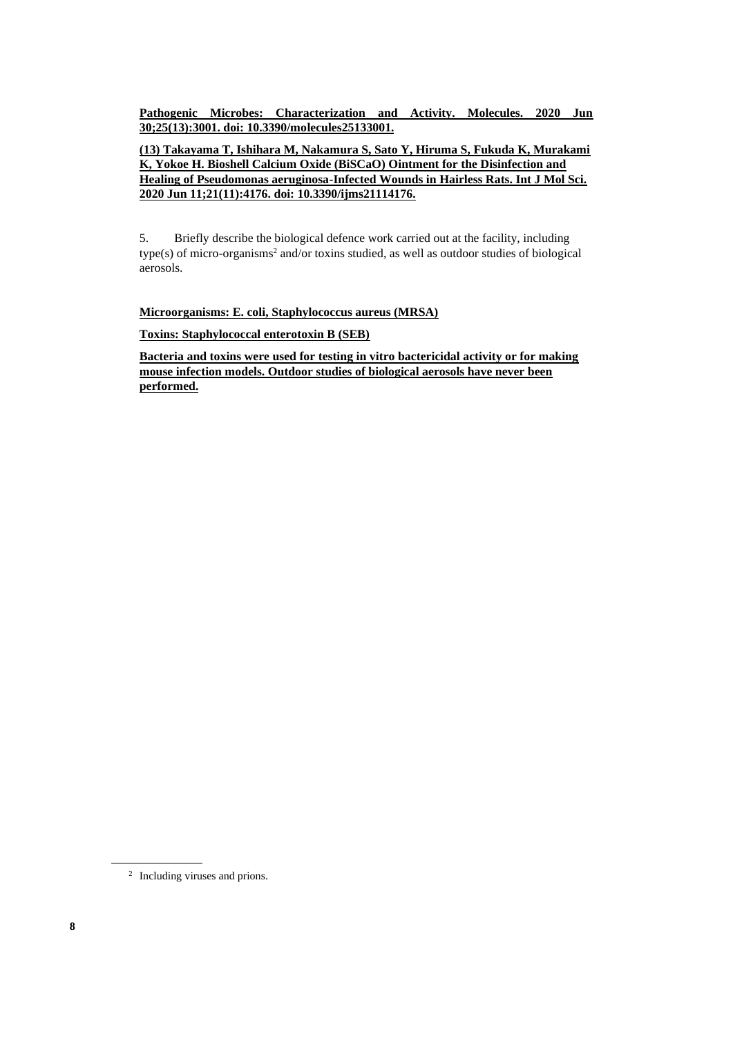**Pathogenic Microbes: Characterization and Activity. Molecules. 2020 Jun 30;25(13):3001. doi: 10.3390/molecules25133001.**

**(13) Takayama T, Ishihara M, Nakamura S, Sato Y, Hiruma S, Fukuda K, Murakami K, Yokoe H. Bioshell Calcium Oxide (BiSCaO) Ointment for the Disinfection and Healing of Pseudomonas aeruginosa-Infected Wounds in Hairless Rats. Int J Mol Sci. 2020 Jun 11;21(11):4176. doi: 10.3390/ijms21114176.**

5. Briefly describe the biological defence work carried out at the facility, including type(s) of micro-organisms<sup>2</sup> and/or toxins studied, as well as outdoor studies of biological aerosols.

**Microorganisms: E. coli, Staphylococcus aureus (MRSA)**

**Toxins: Staphylococcal enterotoxin B (SEB)**

**Bacteria and toxins were used for testing in vitro bactericidal activity or for making mouse infection models. Outdoor studies of biological aerosols have never been performed.**

<sup>2</sup> Including viruses and prions.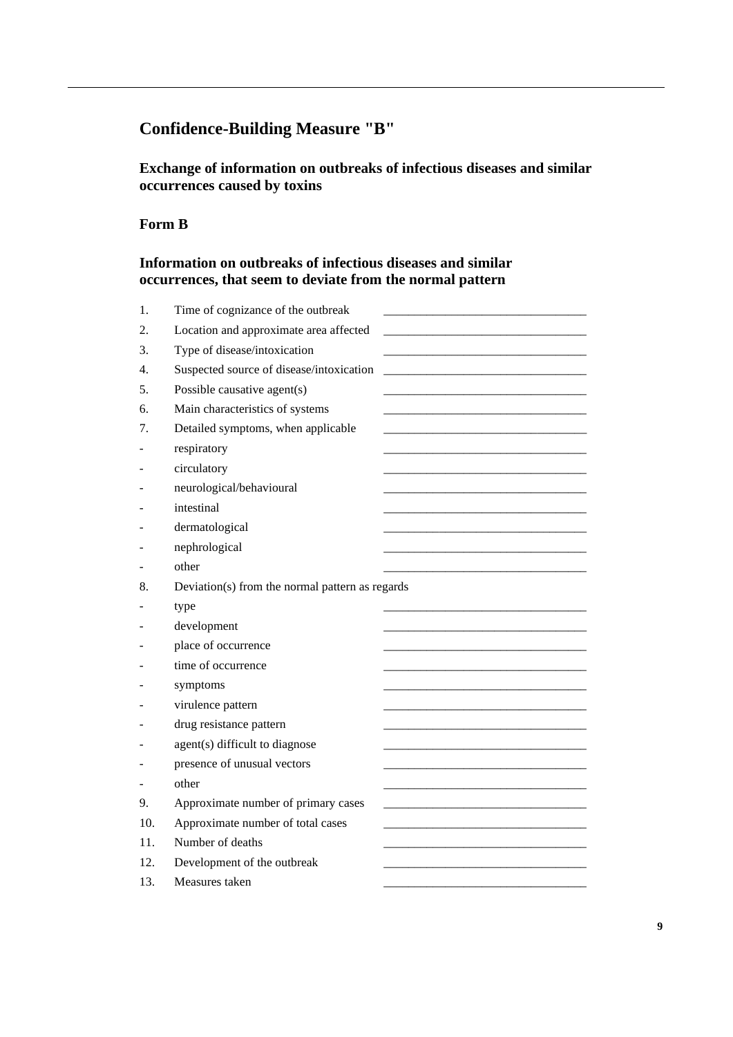# **Confidence-Building Measure "B"**

**Exchange of information on outbreaks of infectious diseases and similar occurrences caused by toxins**

## **Form B**

## **Information on outbreaks of infectious diseases and similar occurrences, that seem to deviate from the normal pattern**

| 1.  | Time of cognizance of the outbreak              |
|-----|-------------------------------------------------|
| 2.  | Location and approximate area affected          |
| 3.  | Type of disease/intoxication                    |
| 4.  | Suspected source of disease/intoxication        |
| 5.  | Possible causative agent(s)                     |
| б.  | Main characteristics of systems                 |
| 7.  | Detailed symptoms, when applicable              |
|     | respiratory                                     |
|     | circulatory                                     |
|     | neurological/behavioural                        |
|     | intestinal                                      |
|     | dermatological                                  |
|     | nephrological                                   |
|     | other                                           |
| 8.  | Deviation(s) from the normal pattern as regards |
|     |                                                 |
|     | type                                            |
|     | development                                     |
|     | place of occurrence                             |
|     | time of occurrence                              |
|     | symptoms                                        |
|     | virulence pattern                               |
|     | drug resistance pattern                         |
|     | agent(s) difficult to diagnose                  |
|     | presence of unusual vectors                     |
|     | other                                           |
| 9.  | Approximate number of primary cases             |
| 10. | Approximate number of total cases               |
| 11. | Number of deaths                                |
| 12. | Development of the outbreak                     |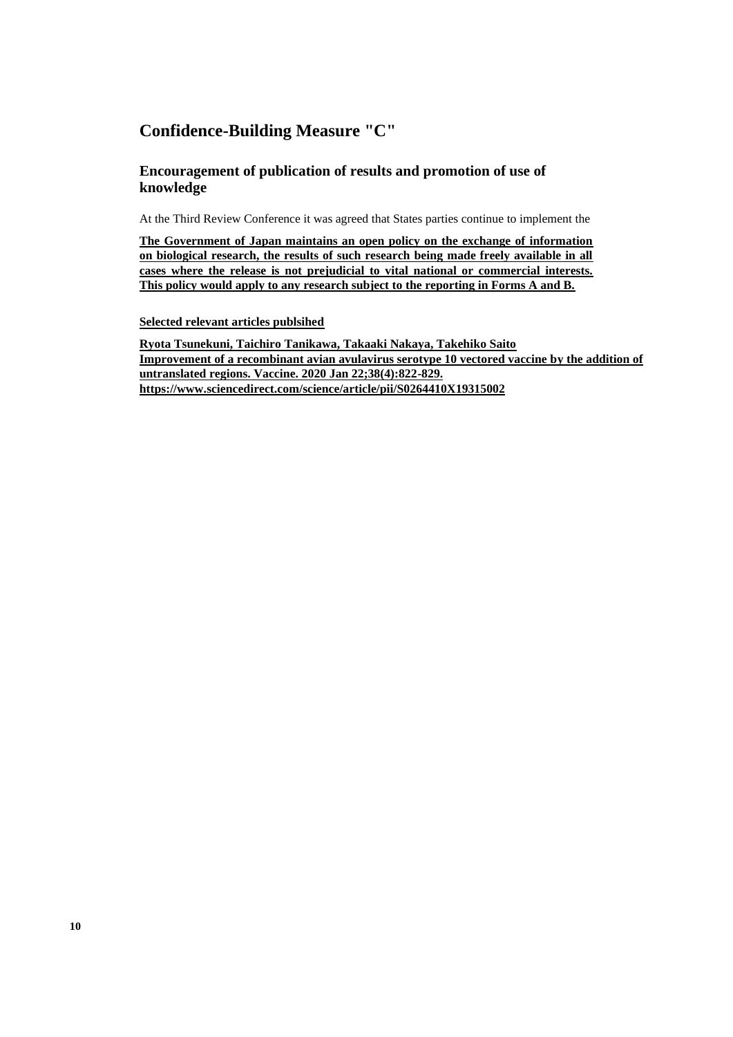## **Confidence-Building Measure "C"**

## **Encouragement of publication of results and promotion of use of knowledge**

At the Third Review Conference it was agreed that States parties continue to implement the

**The Government of Japan maintains an open policy on the exchange of information on biological research, the results of such research being made freely available in all cases where the release is not prejudicial to vital national or commercial interests. This policy would apply to any research subject to the reporting in Forms A and B.** 

**Selected relevant articles publsihed**

**Ryota Tsunekuni, Taichiro Tanikawa, Takaaki Nakaya, Takehiko Saito Improvement of a recombinant avian avulavirus serotype 10 vectored vaccine by the addition of untranslated regions. Vaccine. 2020 Jan 22;38(4):822-829. <https://www.sciencedirect.com/science/article/pii/S0264410X19315002>**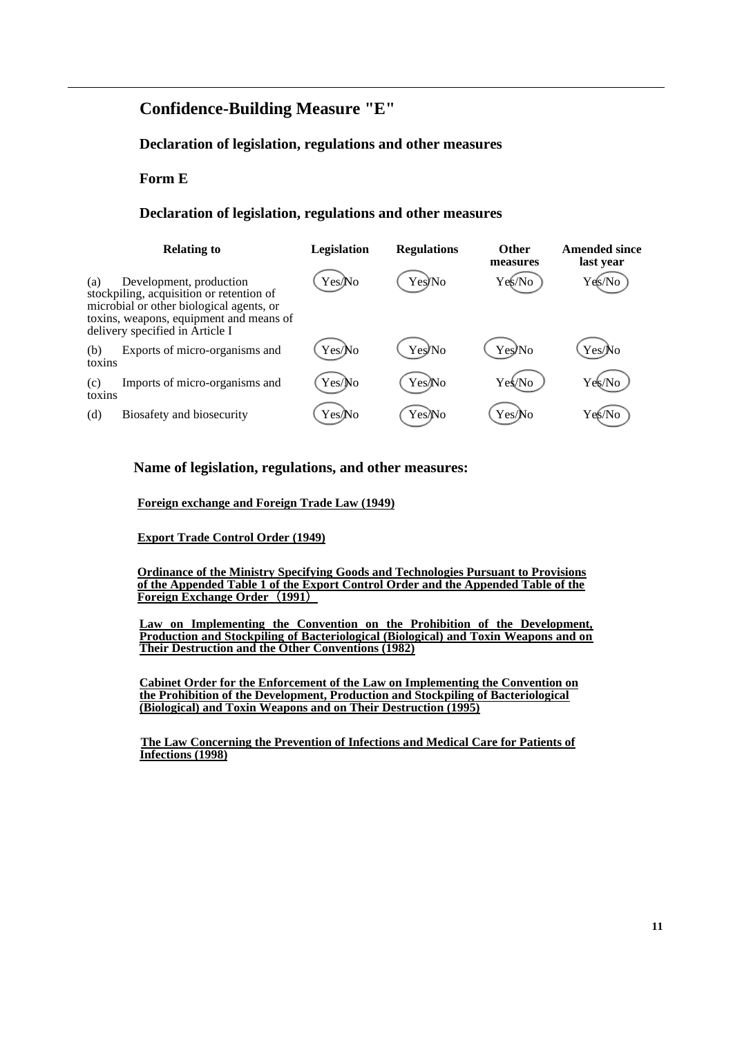## **Confidence-Building Measure "E"**

## **Declaration of legislation, regulations and other measures**

#### **Form E**

#### **Declaration of legislation, regulations and other measures**

|               | <b>Relating to</b>                                                                                                                                                                            | Legislation | <b>Regulations</b> | <b>Other</b><br>measures | <b>Amended since</b><br>last year |
|---------------|-----------------------------------------------------------------------------------------------------------------------------------------------------------------------------------------------|-------------|--------------------|--------------------------|-----------------------------------|
| (a)           | Development, production<br>stockpiling, acquisition or retention of<br>microbial or other biological agents, or<br>toxins, weapons, equipment and means of<br>delivery specified in Article I | Yes/No      | Yes/No             | Yes/No                   | Yes/No                            |
| (b)<br>toxins | Exports of micro-organisms and                                                                                                                                                                | Yes/No      | Yes/No             | Yes/No                   | Yes/No                            |
| (c)<br>toxins | Imports of micro-organisms and                                                                                                                                                                | Yes/No      | Yes/No             | Yeś⁄No                   | Yek/No                            |
| (d)           | Biosafety and biosecurity                                                                                                                                                                     | Yes/No      | Yes/No             | Yes/No                   | Ye§⁄No                            |

#### **Name of legislation, regulations, and other measures:**

**Foreign exchange and Foreign Trade Law (1949)**

**Export Trade Control Order (1949)**

**Ordinance of the Ministry Specifying Goods and Technologies Pursuant to Provisions of the Appended Table 1 of the Export Control Order and the Appended Table of the Foreign Exchange Order**(**1991**)

**Law on Implementing the Convention on the Prohibition of the Development, Production and Stockpiling of Bacteriological (Biological) and Toxin Weapons and on Their Destruction and the Other Conventions (1982)**

**Cabinet Order for the Enforcement of the Law on Implementing the Convention on the Prohibition of the Development, Production and Stockpiling of Bacteriological (Biological) and Toxin Weapons and on Their Destruction (1995)**

 **The Law Concerning the Prevention of Infections and Medical Care for Patients of Infections (1998)**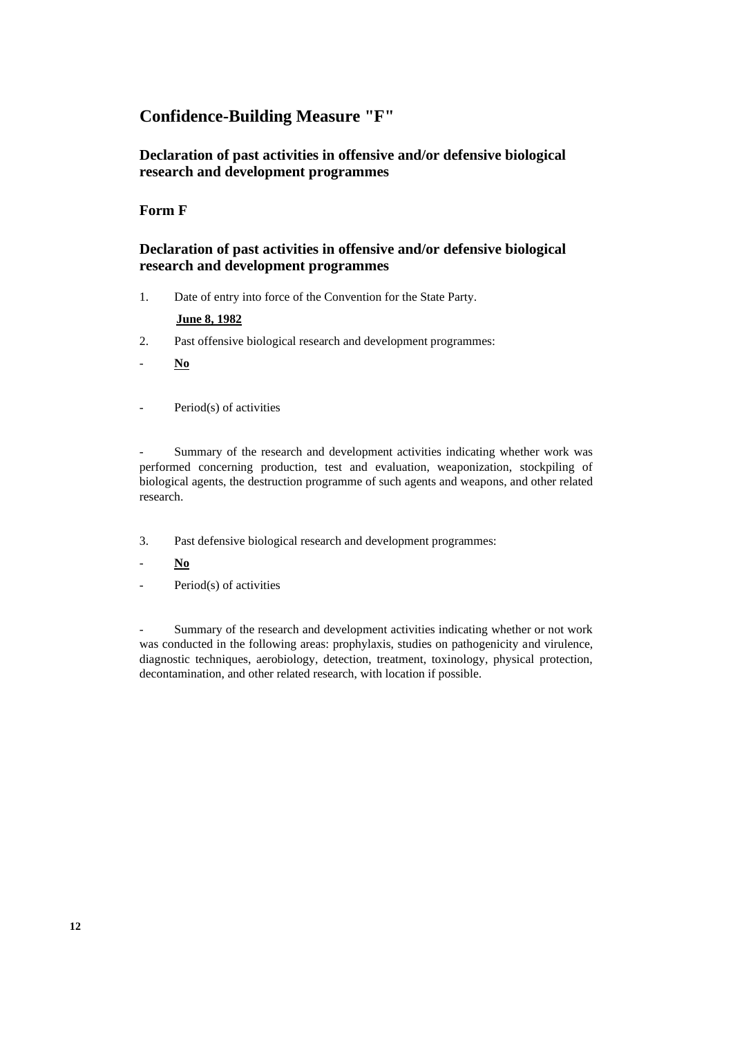## **Confidence-Building Measure "F"**

## **Declaration of past activities in offensive and/or defensive biological research and development programmes**

## **Form F**

## **Declaration of past activities in offensive and/or defensive biological research and development programmes**

1. Date of entry into force of the Convention for the State Party.

### **June 8, 1982**

- 2. Past offensive biological research and development programmes:
- **No**
- Period(s) of activities

Summary of the research and development activities indicating whether work was performed concerning production, test and evaluation, weaponization, stockpiling of biological agents, the destruction programme of such agents and weapons, and other related research.

- 3. Past defensive biological research and development programmes:
- **No**
- Period(s) of activities

Summary of the research and development activities indicating whether or not work was conducted in the following areas: prophylaxis, studies on pathogenicity and virulence, diagnostic techniques, aerobiology, detection, treatment, toxinology, physical protection, decontamination, and other related research, with location if possible.